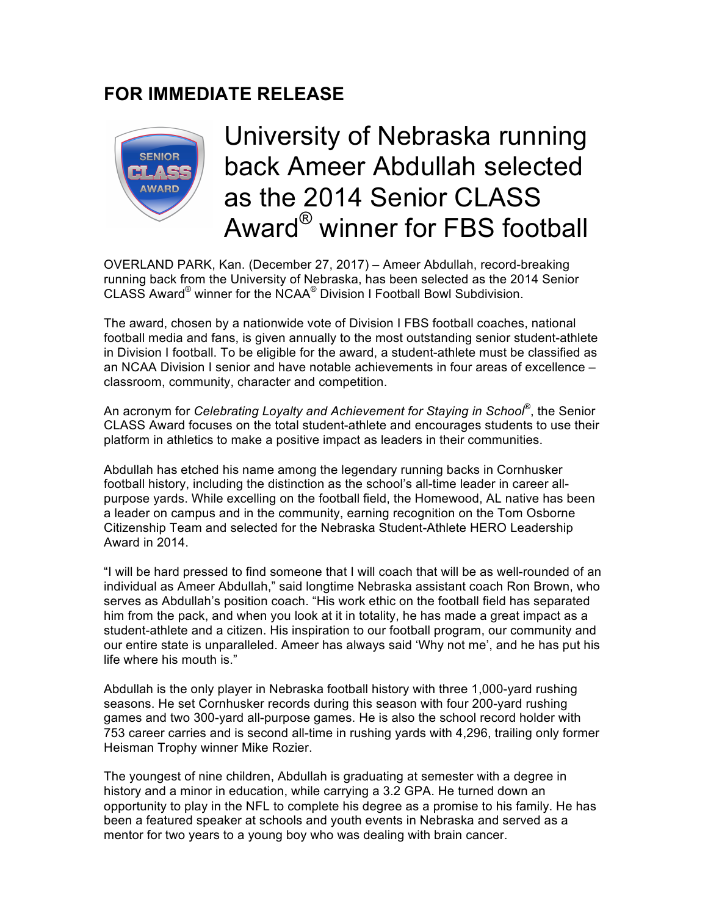# **FOR IMMEDIATE RELEASE**



# University of Nebraska running back Ameer Abdullah selected as the 2014 Senior CLASS Award® winner for FBS football

OVERLAND PARK, Kan. (December 27, 2017) – Ameer Abdullah, record-breaking running back from the University of Nebraska, has been selected as the 2014 Senior CLASS Award® winner for the NCAA® Division I Football Bowl Subdivision.

The award, chosen by a nationwide vote of Division I FBS football coaches, national football media and fans, is given annually to the most outstanding senior student-athlete in Division I football. To be eligible for the award, a student-athlete must be classified as an NCAA Division I senior and have notable achievements in four areas of excellence – classroom, community, character and competition.

An acronym for *Celebrating Loyalty and Achievement for Staying in School*®, the Senior CLASS Award focuses on the total student-athlete and encourages students to use their platform in athletics to make a positive impact as leaders in their communities.

Abdullah has etched his name among the legendary running backs in Cornhusker football history, including the distinction as the school's all-time leader in career allpurpose yards. While excelling on the football field, the Homewood, AL native has been a leader on campus and in the community, earning recognition on the Tom Osborne Citizenship Team and selected for the Nebraska Student-Athlete HERO Leadership Award in 2014.

"I will be hard pressed to find someone that I will coach that will be as well-rounded of an individual as Ameer Abdullah," said longtime Nebraska assistant coach Ron Brown, who serves as Abdullah's position coach. "His work ethic on the football field has separated him from the pack, and when you look at it in totality, he has made a great impact as a student-athlete and a citizen. His inspiration to our football program, our community and our entire state is unparalleled. Ameer has always said 'Why not me', and he has put his life where his mouth is."

Abdullah is the only player in Nebraska football history with three 1,000-yard rushing seasons. He set Cornhusker records during this season with four 200-yard rushing games and two 300-yard all-purpose games. He is also the school record holder with 753 career carries and is second all-time in rushing yards with 4,296, trailing only former Heisman Trophy winner Mike Rozier.

The youngest of nine children, Abdullah is graduating at semester with a degree in history and a minor in education, while carrying a 3.2 GPA. He turned down an opportunity to play in the NFL to complete his degree as a promise to his family. He has been a featured speaker at schools and youth events in Nebraska and served as a mentor for two years to a young boy who was dealing with brain cancer.